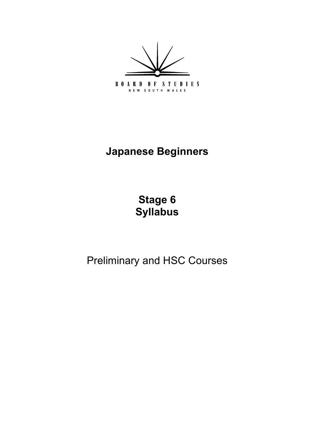

# **Japanese Beginners**

**[Stage 6](#page-5-0) Syllabus** 

Preliminary and HSC Courses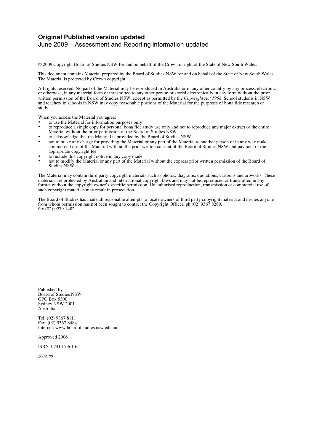#### **Original Published version updated**  June 2009 – Assessment and Reporting information updated

© 2009 Copyright Board of Studies NSW for and on behalf of the Crown in right of the State of New South Wales.

 This document contains Material prepared by the Board of Studies NSW for and on behalf of the State of New South Wales. The Material is protected by Crown copyright.

 All rights reserved. No part of the Material may be reproduced in Australia or in any other country by any process, electronic written permission of the Board of Studies NSW, except as permitted by the *Copyright Act 1968*. School students in NSW and teachers in schools in NSW may copy reasonable portions of the Material for the purposes of bona fide research or or otherwise, in any material form or transmitted to any other person or stored electronically in any form without the prior study.

When you access the Material you agree:

- • to use the Material for information purposes only
- • to reproduce a single copy for personal bona fide study use only and not to reproduce any major extract or the entire Material without the prior permission of the Board of Studies NSW
- • to acknowledge that the Material is provided by the Board of Studies NSW
- • not to make any charge for providing the Material or any part of the Material to another person or in any way make appropriate copyright fee commercial use of the Material without the prior written consent of the Board of Studies NSW and payment of the
- • to include this copyright notice in any copy made
- • not to modify the Material or any part of the Material without the express prior written permission of the Board of Studies NSW.

 The Material may contain third party copyright materials such as photos, diagrams, quotations, cartoons and artworks. These materials are protected by Australian and international copyright laws and may not be reproduced or transmitted in any format without the copyright owner's specific permission. Unauthorised reproduction, transmission or commercial use of such copyright materials may result in prosecution.

 The Board of Studies has made all reasonable attempts to locate owners of third party copyright material and invites anyone from whom permission has not been sought to contact the Copyright Officer, ph (02) 9367 8289, fax (02) 9279 1482.

 Board of Studies NSW GPO Box 5300 Sydney NSW 2001 Published by Australia

 Tel: (02) 9367 8111 Fax: (02) 9367 8484 Internet: www.boardofstudies.nsw.edu.au

Approved 2006

ISBN 1 7414 7361 6

*2009380*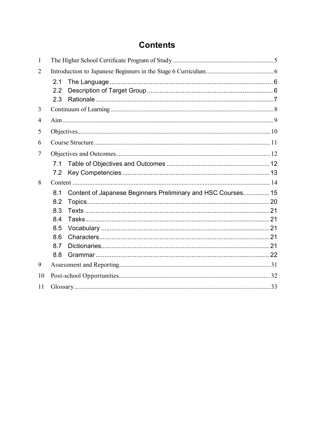## **Contents**

| $\mathbf{1}$   |     |                                                              |  |  |  |
|----------------|-----|--------------------------------------------------------------|--|--|--|
| $\overline{2}$ |     |                                                              |  |  |  |
|                | 2.1 |                                                              |  |  |  |
|                | 2.2 |                                                              |  |  |  |
|                | 2.3 |                                                              |  |  |  |
| 3              |     |                                                              |  |  |  |
| 4              |     |                                                              |  |  |  |
| 5              |     |                                                              |  |  |  |
| 6              |     |                                                              |  |  |  |
| 7              |     |                                                              |  |  |  |
|                | 7.1 |                                                              |  |  |  |
|                | 7.2 |                                                              |  |  |  |
| 8              |     |                                                              |  |  |  |
|                | 8.1 | Content of Japanese Beginners Preliminary and HSC Courses 15 |  |  |  |
|                | 8.2 |                                                              |  |  |  |
|                | 8.3 |                                                              |  |  |  |
|                | 8.4 |                                                              |  |  |  |
|                | 8.5 |                                                              |  |  |  |
|                | 8.6 |                                                              |  |  |  |
|                | 8.7 |                                                              |  |  |  |
|                | 8.8 |                                                              |  |  |  |
| 9              |     |                                                              |  |  |  |
| 10             |     |                                                              |  |  |  |
| 11             |     |                                                              |  |  |  |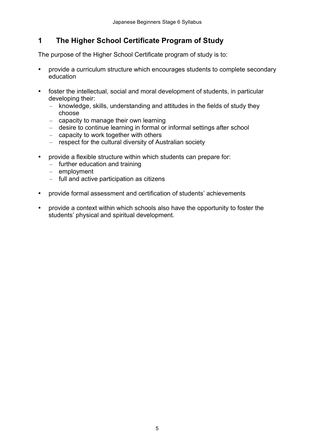#### <span id="page-4-0"></span> **The Higher School Certificate Program of Study 1**

The purpose of the Higher School Certificate program of study is to:

- provide a curriculum structure which encourages students to complete secondary education
- foster the intellectual, social and moral development of students, in particular developing their:
	- knowledge, skills, understanding and attitudes in the fields of study they choose
	- capacity to manage their own learning
	- desire to continue learning in formal or informal settings after school
	- capacity to work together with others
	- respect for the cultural diversity of Australian society
- provide a flexible structure within which students can prepare for:
	- further education and training
	- – employment
	- full and active participation as citizens
- provide formal assessment and certification of students' achievements
- provide a context within which schools also have the opportunity to foster the students' physical and spiritual development.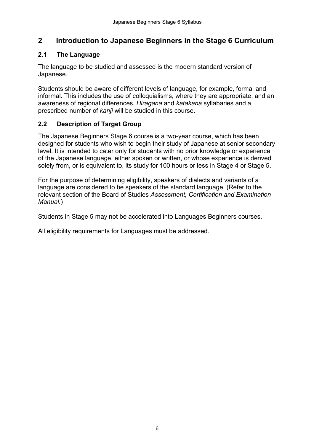## <span id="page-5-0"></span> **2 Introduction to Japanese Beginners in the Stage 6 Curriculum**

#### **2.1 The Language**

 The language to be studied and assessed is the modern standard version of Japanese.

 Students should be aware of different levels of language, for example, formal and informal. This includes the use of colloquialisms, where they are appropriate, and an awareness of regional differences. *Hiragana* and *katakana* syllabaries and a prescribed number of *kanji* will be studied in this course.

### **2.2 Description of Target Group**

 The Japanese Beginners Stage 6 course is a two-year course, which has been designed for students who wish to begin their study of Japanese at senior secondary level. It is intended to cater only for students with no prior knowledge or experience of the Japanese language, either spoken or written, or whose experience is derived solely from, or is equivalent to, its study for 100 hours or less in Stage 4 or Stage 5.

 For the purpose of determining eligibility, speakers of dialects and variants of a language are considered to be speakers of the standard language. (Refer to the relevant section of the Board of Studies *Assessment, Certification and Examination Manual.*)

Students in Stage 5 may not be accelerated into Languages Beginners courses.

All eligibility requirements for Languages must be addressed.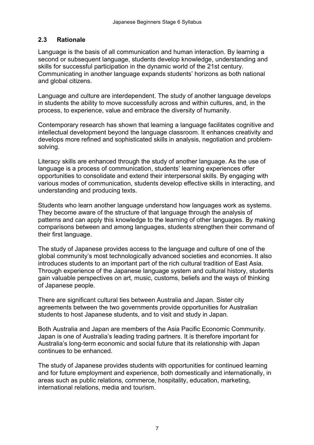### <span id="page-6-0"></span>**2.3 Rationale**

 Language is the basis of all communication and human interaction. By learning a second or subsequent language, students develop knowledge, understanding and skills for successful participation in the dynamic world of the 21st century. Communicating in another language expands students' horizons as both national and global citizens.

 Language and culture are interdependent. The study of another language develops in students the ability to move successfully across and within cultures, and, in the process, to experience, value and embrace the diversity of humanity.

 Contemporary research has shown that learning a language facilitates cognitive and intellectual development beyond the language classroom. It enhances creativity and develops more refined and sophisticated skills in analysis, negotiation and problemsolving.

 Literacy skills are enhanced through the study of another language. As the use of language is a process of communication, students' learning experiences offer opportunities to consolidate and extend their interpersonal skills. By engaging with various modes of communication, students develop effective skills in interacting, and understanding and producing texts.

 Students who learn another language understand how languages work as systems. They become aware of the structure of that language through the analysis of patterns and can apply this knowledge to the learning of other languages. By making comparisons between and among languages, students strengthen their command of their first language.

 The study of Japanese provides access to the language and culture of one of the global community's most technologically advanced societies and economies. It also introduces students to an important part of the rich cultural tradition of East Asia. Through experience of the Japanese language system and cultural history, students gain valuable perspectives on art, music, customs, beliefs and the ways of thinking of Japanese people.

 There are significant cultural ties between Australia and Japan. Sister city agreements between the two governments provide opportunities for Australian students to host Japanese students, and to visit and study in Japan.

 Both Australia and Japan are members of the Asia Pacific Economic Community. Japan is one of Australia's leading trading partners. It is therefore important for Australia's long-term economic and social future that its relationship with Japan continues to be enhanced.

 The study of Japanese provides students with opportunities for continued learning and for future employment and experience, both domestically and internationally, in areas such as public relations, commerce, hospitality, education, marketing, international relations, media and tourism.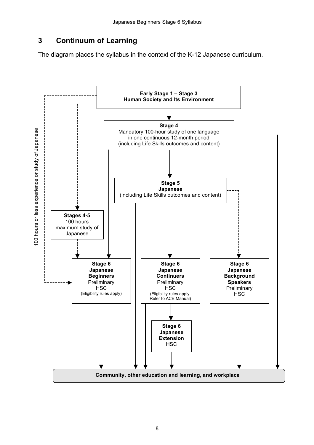#### <span id="page-7-0"></span> **Continuum of Learning 3**

The diagram places the syllabus in the context of the K-12 Japanese curriculum.

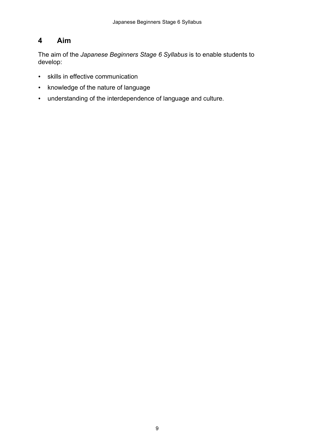## <span id="page-8-0"></span>**4 Aim**

 The aim of the *Japanese Beginners Stage 6 Syllabus* is to enable students to develop:

- skills in effective communication
- knowledge of the nature of language
- understanding of the interdependence of language and culture.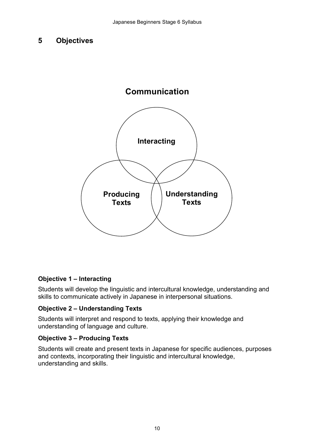#### <span id="page-9-0"></span>**5 Objectives**



### **Objective 1 – Interacting**

 Students will develop the linguistic and intercultural knowledge, understanding and skills to communicate actively in Japanese in interpersonal situations.

#### **Objective 2 – Understanding Texts**

 Students will interpret and respond to texts, applying their knowledge and understanding of language and culture.

#### **Objective 3 – Producing Texts**

 Students will create and present texts in Japanese for specific audiences, purposes and contexts, incorporating their linguistic and intercultural knowledge, understanding and skills.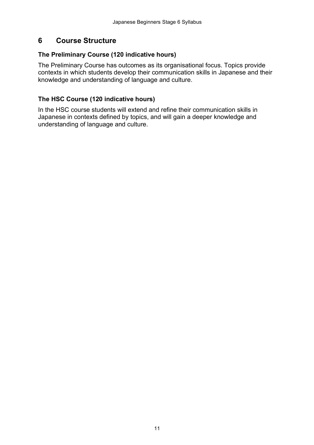#### <span id="page-10-0"></span>**6 Course Structure**

#### **The Preliminary Course (120 indicative hours)**

 The Preliminary Course has outcomes as its organisational focus. Topics provide contexts in which students develop their communication skills in Japanese and their knowledge and understanding of language and culture.

### **The HSC Course (120 indicative hours)**

 In the HSC course students will extend and refine their communication skills in Japanese in contexts defined by topics, and will gain a deeper knowledge and understanding of language and culture.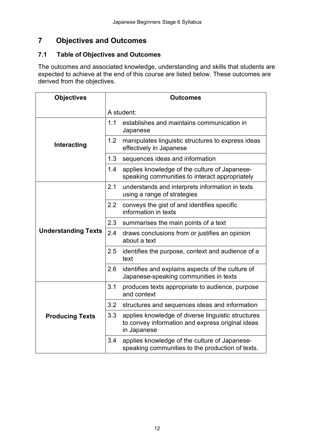## **7 Objectives and Outcomes**

#### **7.1 Table of Objectives and Outcomes**

 The outcomes and associated knowledge, understanding and skills that students are expected to achieve at the end of this course are listed below. These outcomes are derived from the objectives.

| <b>Objectives</b>          | <b>Outcomes</b> |                                                                                                                       |  |  |
|----------------------------|-----------------|-----------------------------------------------------------------------------------------------------------------------|--|--|
|                            | A student:      |                                                                                                                       |  |  |
|                            | 1.1             | establishes and maintains communication in<br>Japanese                                                                |  |  |
| Interacting                | 1.2             | manipulates linguistic structures to express ideas<br>effectively in Japanese                                         |  |  |
|                            | 1.3             | sequences ideas and information                                                                                       |  |  |
|                            | 1.4             | applies knowledge of the culture of Japanese-<br>speaking communities to interact appropriately                       |  |  |
|                            | 2.1             | understands and interprets information in texts<br>using a range of strategies                                        |  |  |
|                            | 2.2             | conveys the gist of and identifies specific<br>information in texts                                                   |  |  |
|                            | 2.3             | summarises the main points of a text                                                                                  |  |  |
| <b>Understanding Texts</b> | 2.4             | draws conclusions from or justifies an opinion<br>about a text                                                        |  |  |
|                            | 2.5             | identifies the purpose, context and audience of a<br>text                                                             |  |  |
|                            | 2.6             | identifies and explains aspects of the culture of<br>Japanese-speaking communities in texts                           |  |  |
|                            | 3.1             | produces texts appropriate to audience, purpose<br>and context                                                        |  |  |
|                            | 3.2             | structures and sequences ideas and information                                                                        |  |  |
| <b>Producing Texts</b>     | 3.3             | applies knowledge of diverse linguistic structures<br>to convey information and express original ideas<br>in Japanese |  |  |
|                            | 3.4             | applies knowledge of the culture of Japanese-<br>speaking communities to the production of texts.                     |  |  |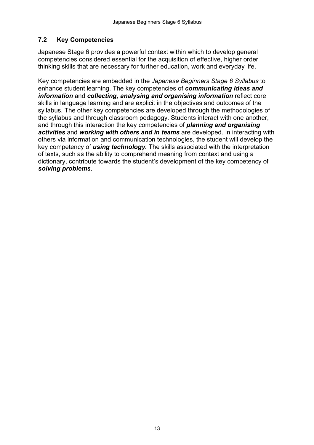#### <span id="page-12-0"></span>**7.2 Key Competencies**

 Japanese Stage 6 provides a powerful context within which to develop general competencies considered essential for the acquisition of effective, higher order thinking skills that are necessary for further education, work and everyday life.

 Key competencies are embedded in the *Japanese Beginners Stage 6 Syllabus* to enhance student learning. The key competencies of *communicating ideas and information* and *collecting, analysing and organising information* reflect core skills in language learning and are explicit in the objectives and outcomes of the syllabus. The other key competencies are developed through the methodologies of the syllabus and through classroom pedagogy. Students interact with one another, and through this interaction the key competencies of *planning and organising activities* and *working with others and in teams* are developed. In interacting with others via information and communication technologies, the student will develop the key competency of *using technology.* The skills associated with the interpretation of texts, such as the ability to comprehend meaning from context and using a dictionary, contribute towards the student's development of the key competency of *solving problems*.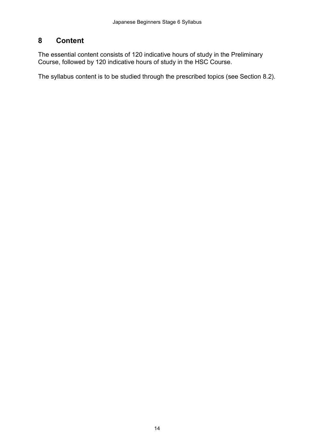#### <span id="page-13-0"></span>**8 Content**

 The essential content consists of 120 indicative hours of study in the Preliminary Course, followed by 120 indicative hours of study in the HSC Course.

The syllabus content is to be studied through the prescribed topics (see Section 8.2).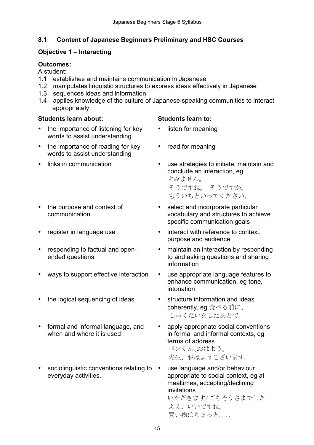### <span id="page-14-0"></span> **8.1 Content of Japanese Beginners Preliminary and HSC Courses**

### **Objective 1 – Interacting**

|           | <b>Outcomes:</b><br>A student:                                                                                       |           |                                                                                                                                                                     |  |  |
|-----------|----------------------------------------------------------------------------------------------------------------------|-----------|---------------------------------------------------------------------------------------------------------------------------------------------------------------------|--|--|
| 1.2       | 1.1<br>establishes and maintains communication in Japanese                                                           |           |                                                                                                                                                                     |  |  |
|           | manipulates linguistic structures to express ideas effectively in Japanese<br>sequences ideas and information<br>1.3 |           |                                                                                                                                                                     |  |  |
| 1.4       | appropriately.                                                                                                       |           | applies knowledge of the culture of Japanese-speaking communities to interact                                                                                       |  |  |
|           | <b>Students learn about:</b>                                                                                         |           | <b>Students learn to:</b>                                                                                                                                           |  |  |
|           | the importance of listening for key<br>words to assist understanding                                                 |           | listen for meaning                                                                                                                                                  |  |  |
| $\bullet$ | the importance of reading for key<br>words to assist understanding                                                   | $\bullet$ | read for meaning                                                                                                                                                    |  |  |
|           | links in communication                                                                                               | $\bullet$ | use strategies to initiate, maintain and<br>conclude an interaction, eg<br>すみません。<br>そうですね。 そうですか。<br>もういちどいってください。                                                 |  |  |
|           | the purpose and context of<br>communication                                                                          | $\bullet$ | select and incorporate particular<br>vocabulary and structures to achieve<br>specific communication goals                                                           |  |  |
|           | register in language use                                                                                             | $\bullet$ | interact with reference to context,<br>purpose and audience                                                                                                         |  |  |
|           | responding to factual and open-<br>ended questions                                                                   | ٠         | maintain an interaction by responding<br>to and asking questions and sharing<br>information                                                                         |  |  |
|           | ways to support effective interaction                                                                                | $\bullet$ | use appropriate language features to<br>enhance communication, eg tone,<br>intonation                                                                               |  |  |
|           | the logical sequencing of ideas                                                                                      |           | structure information and ideas<br>coherently, eg 食べる前に、<br>しゅくだいをしたあとで                                                                                             |  |  |
|           | formal and informal language, and<br>when and where it is used                                                       |           | apply appropriate social conventions<br>in formal and informal contexts, eg<br>terms of address<br>ベンくん、おはよう。<br>先生、おはようございます。                                      |  |  |
|           | sociolinguistic conventions relating to<br>everyday activities.                                                      | $\bullet$ | use language and/or behaviour<br>appropriate to social context, eg at<br>mealtimes, accepting/declining<br>invitations<br>いただきます/ごちそうさまでした<br>ええ、いいですね。<br>買い物はちょっと |  |  |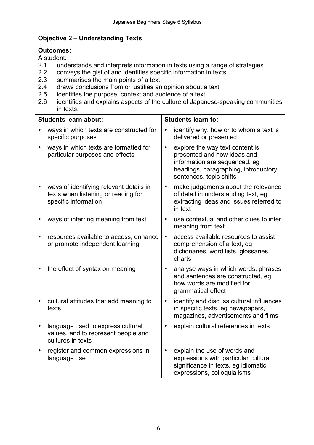### **Objective 2 – Understanding Texts**

|            | <b>Outcomes:</b><br>A student:                                                                                                                                                                                                                                                                                                                                                                                                  |                                                                                                                                                                                 |  |  |  |  |
|------------|---------------------------------------------------------------------------------------------------------------------------------------------------------------------------------------------------------------------------------------------------------------------------------------------------------------------------------------------------------------------------------------------------------------------------------|---------------------------------------------------------------------------------------------------------------------------------------------------------------------------------|--|--|--|--|
| 2.1<br>2.6 | understands and interprets information in texts using a range of strategies<br>2.2<br>conveys the gist of and identifies specific information in texts<br>2.3<br>summarises the main points of a text<br>draws conclusions from or justifies an opinion about a text<br>2.4<br>2.5<br>identifies the purpose, context and audience of a text<br>identifies and explains aspects of the culture of Japanese-speaking communities |                                                                                                                                                                                 |  |  |  |  |
|            | in texts.                                                                                                                                                                                                                                                                                                                                                                                                                       |                                                                                                                                                                                 |  |  |  |  |
|            | <b>Students learn about:</b>                                                                                                                                                                                                                                                                                                                                                                                                    | <b>Students learn to:</b>                                                                                                                                                       |  |  |  |  |
|            | ways in which texts are constructed for<br>specific purposes                                                                                                                                                                                                                                                                                                                                                                    | identify why, how or to whom a text is<br>٠<br>delivered or presented                                                                                                           |  |  |  |  |
| ٠          | ways in which texts are formatted for<br>particular purposes and effects                                                                                                                                                                                                                                                                                                                                                        | explore the way text content is<br>$\bullet$<br>presented and how ideas and<br>information are sequenced, eg<br>headings, paragraphing, introductory<br>sentences, topic shifts |  |  |  |  |
|            | ways of identifying relevant details in<br>texts when listening or reading for<br>specific information                                                                                                                                                                                                                                                                                                                          | make judgements about the relevance<br>$\bullet$<br>of detail in understanding text, eg<br>extracting ideas and issues referred to<br>in text                                   |  |  |  |  |
|            | ways of inferring meaning from text                                                                                                                                                                                                                                                                                                                                                                                             | use contextual and other clues to infer<br>meaning from text                                                                                                                    |  |  |  |  |
|            | resources available to access, enhance<br>or promote independent learning                                                                                                                                                                                                                                                                                                                                                       | access available resources to assist<br>٠<br>comprehension of a text, eg<br>dictionaries, word lists, glossaries,<br>charts                                                     |  |  |  |  |
| ٠          | the effect of syntax on meaning                                                                                                                                                                                                                                                                                                                                                                                                 | analyse ways in which words, phrases<br>٠<br>and sentences are constructed, eg<br>how words are modified for<br>grammatical effect                                              |  |  |  |  |
|            | cultural attitudes that add meaning to<br>texts                                                                                                                                                                                                                                                                                                                                                                                 | identify and discuss cultural influences<br>in specific texts, eg newspapers,<br>magazines, advertisements and films                                                            |  |  |  |  |
|            | language used to express cultural<br>values, and to represent people and<br>cultures in texts                                                                                                                                                                                                                                                                                                                                   | explain cultural references in texts                                                                                                                                            |  |  |  |  |
|            | register and common expressions in<br>language use                                                                                                                                                                                                                                                                                                                                                                              | explain the use of words and<br>expressions with particular cultural<br>significance in texts, eg idiomatic<br>expressions, colloquialisms                                      |  |  |  |  |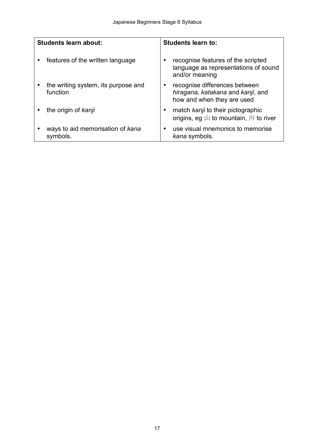| <b>Students learn about:</b> |                                                 | <b>Students learn to:</b> |                                                                                                  |
|------------------------------|-------------------------------------------------|---------------------------|--------------------------------------------------------------------------------------------------|
|                              | features of the written language                |                           | recognise features of the scripted<br>language as representations of sound<br>and/or meaning     |
|                              | the writing system, its purpose and<br>function |                           | recognise differences between<br>hiragana, katakana and kanji, and<br>how and when they are used |
|                              | the origin of kanji                             |                           | match kanji to their pictographic<br>origins, eg $\uplus$ to mountain, $\left  \right $ to river |
|                              | ways to aid memorisation of kana<br>symbols.    |                           | use visual mnemonics to memorise<br>kana symbols.                                                |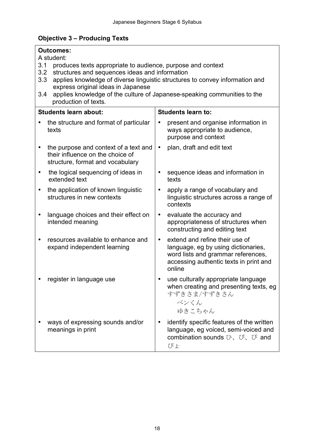#### **Objective 3 – Producing Texts**

|                          | <b>Outcomes:</b><br>A student:                                                                                                                                                                                                                                                                                                          |                           |                                                                                                                                                                 |  |  |
|--------------------------|-----------------------------------------------------------------------------------------------------------------------------------------------------------------------------------------------------------------------------------------------------------------------------------------------------------------------------------------|---------------------------|-----------------------------------------------------------------------------------------------------------------------------------------------------------------|--|--|
| 3.1<br>3.2<br>3.3<br>3.4 | produces texts appropriate to audience, purpose and context<br>structures and sequences ideas and information<br>applies knowledge of diverse linguistic structures to convey information and<br>express original ideas in Japanese<br>applies knowledge of the culture of Japanese-speaking communities to the<br>production of texts. |                           |                                                                                                                                                                 |  |  |
|                          | <b>Students learn about:</b>                                                                                                                                                                                                                                                                                                            | <b>Students learn to:</b> |                                                                                                                                                                 |  |  |
|                          | the structure and format of particular<br>texts                                                                                                                                                                                                                                                                                         |                           | present and organise information in<br>ways appropriate to audience,<br>purpose and context                                                                     |  |  |
|                          | the purpose and context of a text and<br>their influence on the choice of<br>structure, format and vocabulary                                                                                                                                                                                                                           | $\bullet$                 | plan, draft and edit text                                                                                                                                       |  |  |
|                          | the logical sequencing of ideas in<br>extended text                                                                                                                                                                                                                                                                                     |                           | sequence ideas and information in<br>texts                                                                                                                      |  |  |
|                          | the application of known linguistic<br>structures in new contexts                                                                                                                                                                                                                                                                       | $\bullet$                 | apply a range of vocabulary and<br>linguistic structures across a range of<br>contexts                                                                          |  |  |
|                          | language choices and their effect on<br>intended meaning                                                                                                                                                                                                                                                                                | $\bullet$                 | evaluate the accuracy and<br>appropriateness of structures when<br>constructing and editing text                                                                |  |  |
|                          | resources available to enhance and<br>expand independent learning                                                                                                                                                                                                                                                                       | $\bullet$                 | extend and refine their use of<br>language, eg by using dictionaries,<br>word lists and grammar references,<br>accessing authentic texts in print and<br>online |  |  |
|                          | register in language use                                                                                                                                                                                                                                                                                                                |                           | use culturally appropriate language<br>when creating and presenting texts, eg<br>すずきさま/すずきさん<br>ベンくん<br>ゆきこちゃん                                                  |  |  |
|                          | ways of expressing sounds and/or<br>meanings in print                                                                                                                                                                                                                                                                                   |                           | identify specific features of the written<br>language, eg voiced, semi-voiced and<br>combination sounds $\mathbb{U}$ , $\mathbb{U}$ , $\mathbb{U}$ and<br>ぴょ    |  |  |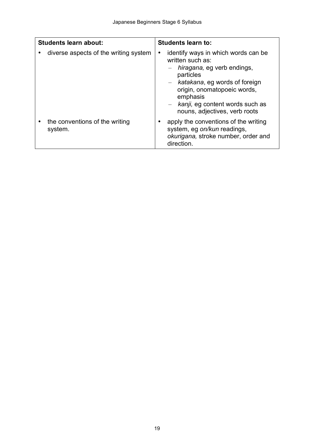| <b>Students learn about:</b> |                                           | <b>Students learn to:</b>                                                                                                                                                                                                                                     |  |
|------------------------------|-------------------------------------------|---------------------------------------------------------------------------------------------------------------------------------------------------------------------------------------------------------------------------------------------------------------|--|
|                              | diverse aspects of the writing system     | identify ways in which words can be<br>٠<br>written such as:<br>hiragana, eg verb endings,<br>particles<br>- katakana, eg words of foreign<br>origin, onomatopoeic words,<br>emphasis<br>$-$ kanji, eg content words such as<br>nouns, adjectives, verb roots |  |
|                              | the conventions of the writing<br>system. | apply the conventions of the writing<br>system, eg on/kun readings,<br>okurigana, stroke number, order and<br>direction.                                                                                                                                      |  |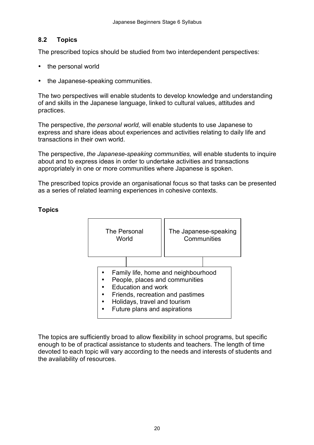#### <span id="page-19-0"></span>**8.2 Topics**

The prescribed topics should be studied from two interdependent perspectives:

- the personal world
- the Japanese-speaking communities.

 The two perspectives will enable students to develop knowledge and understanding of and skills in the Japanese language, linked to cultural values, attitudes and practices.

 The perspective, *the personal world,* will enable students to use Japanese to express and share ideas about experiences and activities relating to daily life and transactions in their own world.

 The perspective, *the Japanese-speaking communities,* will enable students to inquire about and to express ideas in order to undertake activities and transactions appropriately in one or more communities where Japanese is spoken.

 The prescribed topics provide an organisational focus so that tasks can be presented as a series of related learning experiences in cohesive contexts.



### **Topics**

 The topics are sufficiently broad to allow flexibility in school programs, but specific enough to be of practical assistance to students and teachers. The length of time devoted to each topic will vary according to the needs and interests of students and the availability of resources.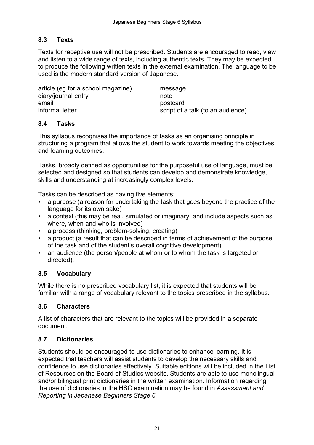### <span id="page-20-0"></span>**8.3 Texts**

 Texts for receptive use will not be prescribed. Students are encouraged to read, view and listen to a wide range of texts, including authentic texts. They may be expected to produce the following written texts in the external examination. The language to be used is the modern standard version of Japanese.

 article (eg for a school magazine) message informal letter script of a talk (to an audience) diary/journal entry and the mote of the mote email **email** postcard

#### **8.4 Tasks**

 This syllabus recognises the importance of tasks as an organising principle in structuring a program that allows the student to work towards meeting the objectives and learning outcomes.

 Tasks, broadly defined as opportunities for the purposeful use of language, must be selected and designed so that students can develop and demonstrate knowledge, skills and understanding at increasingly complex levels.

Tasks can be described as having five elements:

- a purpose (a reason for undertaking the task that goes beyond the practice of the language for its own sake)
- a context (this may be real, simulated or imaginary, and include aspects such as where, when and who is involved)
- a process (thinking, problem-solving, creating)
- a product (a result that can be described in terms of achievement of the purpose of the task and of the student's overall cognitive development)
- an audience (the person/people at whom or to whom the task is targeted or directed).

#### **8.5 Vocabulary**

 While there is no prescribed vocabulary list, it is expected that students will be familiar with a range of vocabulary relevant to the topics prescribed in the syllabus.

#### **8.6 Characters**

 A list of characters that are relevant to the topics will be provided in a separate document.

#### **8.7 Dictionaries**

 Students should be encouraged to use dictionaries to enhance learning. It is expected that teachers will assist students to develop the necessary skills and confidence to use dictionaries effectively. Suitable editions will be included in the List of Resources on the Board of Studies website. Students are able to use monolingual and/or bilingual print dictionaries in the written examination. Information regarding the use of dictionaries in the HSC examination may be found in *Assessment and Reporting in Japanese Beginners Stage 6.*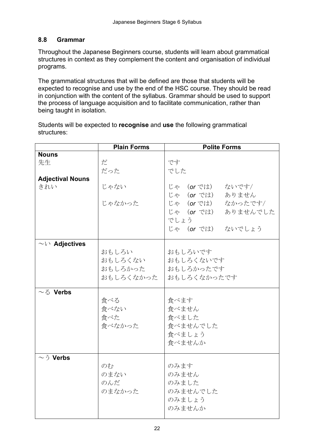### **8.8 Grammar**

 Throughout the Japanese Beginners course, students will learn about grammatical structures in context as they complement the content and organisation of individual programs.

 The grammatical structures that will be defined are those that students will be expected to recognise and use by the end of the HSC course. They should be read in conjunction with the content of the syllabus. Grammar should be used to support the process of language acquisition and to facilitate communication, rather than being taught in isolation.

 Students will be expected to **recognise** and **use** the following grammatical structures:

|                                | <b>Plain Forms</b>                       | <b>Polite Forms</b>                                                                                                                        |
|--------------------------------|------------------------------------------|--------------------------------------------------------------------------------------------------------------------------------------------|
| <b>Nouns</b><br>先生             | だ                                        | です                                                                                                                                         |
|                                | だった                                      | でした                                                                                                                                        |
| <b>Adjectival Nouns</b><br>きれい | じゃない<br>じゃなかった                           | じゃ ( <b>or</b> では)<br>ないです/<br>じゃ ( <b>or</b> では)<br>ありません<br>じゃ (or では)<br>なかったです/<br>じゃ (or では)<br>ありませんでした<br>でしょう<br>じゃ (or では) ないでしょう |
| $\sim$ $\vee$ Adjectives       | おもしろい<br>おもしろくない<br>おもしろかった<br>おもしろくなかった | おもしろいです<br>おもしろくないです<br>おもしろかったです<br>おもしろくなかったです                                                                                           |
| $\sim$ $\delta$ Verbs          | 食べる<br>食べない<br>食べた<br>食べなかった             | 食べます<br>食べません<br>食べました<br>食べませんでした<br>食べましょう<br>食べませんか                                                                                     |
| $\sim$ $\bar{2}$ Verbs         | のむ<br>のまない<br>のんだ<br>のまなかった              | のみます<br>のみません<br>のみました<br>のみませんでした<br>のみましょう<br>のみませんか                                                                                     |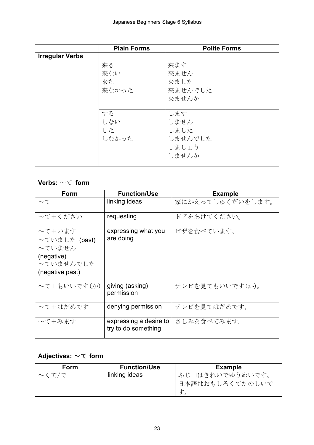|                        | <b>Plain Forms</b> | <b>Polite Forms</b> |
|------------------------|--------------------|---------------------|
| <b>Irregular Verbs</b> |                    |                     |
|                        | 来る                 | 来ます                 |
|                        | 来ない                | 来ません                |
|                        | 来た                 | 来ました                |
|                        | 来なかった              | 来ませんでした             |
|                        |                    | 来ませんか               |
|                        |                    |                     |
|                        | する                 | します                 |
|                        | しない                | しません                |
|                        | した                 | しました                |
|                        | しなかった              | しませんでした             |
|                        |                    | しましょう               |
|                        |                    | しませんか               |
|                        |                    |                     |

### **Verbs:** ~て **form**

| Form                                                                            | <b>Function/Use</b>                           | <b>Example</b>   |
|---------------------------------------------------------------------------------|-----------------------------------------------|------------------|
| $\sim$ T                                                                        | linking ideas                                 | 家にかえってしゅくだいをします。 |
| ~て+ください                                                                         | requesting                                    | ドアをあけてください。      |
| ~て+います<br>~ていました (past)<br>~ていません<br>(negative)<br>~ていませんでした<br>(negative past) | expressing what you<br>are doing              | ピザを食べています。       |
| 〜て+もいいです(か)                                                                     | giving (asking)<br>permission                 | テレビを見てもいいです(か)。  |
| ~て+はだめです                                                                        | denying permission                            | テレビを見てはだめです。     |
| ~て+みます                                                                          | expressing a desire to<br>try to do something | さしみを食べてみます。      |

## **Adjectives:** ~て **form**

| Form  | <b>Function/Use</b> | <b>Example</b>  |
|-------|---------------------|-----------------|
| 〜くて/で | linking ideas       | ふじ山はきれいでゆうめいです。 |
|       |                     | 日本語はおもしろくてたのしいで |
|       |                     |                 |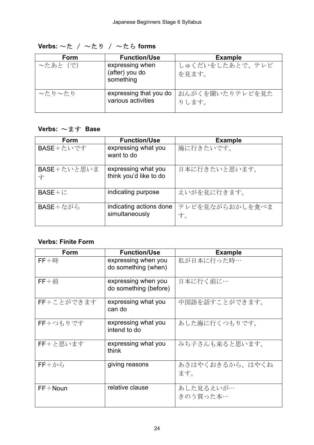| Form                | <b>Function/Use</b>                            | <b>Example</b>           |
|---------------------|------------------------------------------------|--------------------------|
| 〜たあと(で)             | expressing when<br>(after) you do<br>something | しゅくだいをしたあとで、テレビ<br>を見ます。 |
| $\sim$ たり $\sim$ たり | expressing that you do<br>various activities   | おんがくを聞いたりテレビを見た<br>りします。 |

**Verbs:** ~た / ~たり / ~たら **forms** 

## **Verbs:** ~ます **Base**

| Form             | <b>Function/Use</b>                           | <b>Example</b>        |
|------------------|-----------------------------------------------|-----------------------|
| BASE+たいです        | expressing what you<br>want to do             | 海に行きたいです。             |
| BASE+たいと思いま<br>ォ | expressing what you<br>think you'd like to do | 日本に行きたいと思います。         |
| $BASE+i$         | indicating purpose                            | えいがを見に行きます。           |
| BASE+ながら         | indicating actions done<br>simultaneously     | テレビを見ながらおかしを食べま<br>す。 |

#### **Verbs: Finite Form**

| Form              | <b>Function/Use</b>                          | <b>Example</b>         |
|-------------------|----------------------------------------------|------------------------|
| $FF + $           | expressing when you<br>do something (when)   | 私が日本に行った時…             |
| $FF + $ 前         | expressing when you<br>do something (before) | 日本に行く前に…               |
| FF+ことができます        | expressing what you<br>can do                | 中国語を話すことができます。         |
| FF+つもりです          | expressing what you<br>intend to do          | あした海に行くつもりです。          |
| FF+と思います          | expressing what you<br>think                 | みち子さんも来ると思います。         |
| $FF + \textit{2}$ | giving reasons                               | あさはやくおきるから、はやくね<br>ます。 |
| $FF + Noun$       | relative clause                              | あした見るえいが…<br>きのう買った本…  |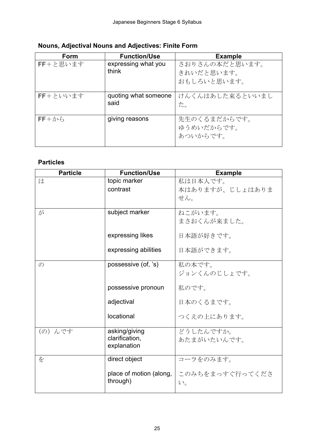| Form          | <b>Function/Use</b>          | <b>Example</b>                         |
|---------------|------------------------------|----------------------------------------|
| FF+と思います      | expressing what you<br>think | さおりさんの本だと思います。<br>きれいだと思います。           |
|               |                              | おもしろいと思います。                            |
| FF+といいます      | quoting what someone<br>said | けんくんはあした来るといいまし<br>た。                  |
| $FF + \gamma$ | giving reasons               | 先生のくるまだからです。<br>ゆうめいだからです。<br>あついからです。 |

#### **Nouns, Adjectival Nouns and Adjectives: Finite Form**

## **Particles**

| <b>Particle</b> | <b>Function/Use</b>     | <b>Example</b>  |
|-----------------|-------------------------|-----------------|
| は               | topic marker            | 私は日本人です。        |
|                 | contrast                | 本はありますが、じしょはありま |
|                 |                         | せん。             |
|                 |                         |                 |
| が               | subject marker          | ねこがいます。         |
|                 |                         | まさおくんが来ました。     |
|                 | expressing likes        | 日本語が好きです。       |
|                 |                         |                 |
|                 | expressing abilities    | 日本語ができます。       |
| $\mathcal{O}$   | possessive (of, 's)     | 私の本です。          |
|                 |                         | ジョンくんのじしょです。    |
|                 |                         |                 |
|                 | possessive pronoun      | 私のです。           |
|                 | adjectival              | 日本のくるまです。       |
|                 |                         |                 |
|                 | locational              | つくえの上にあります。     |
| (の) んです         | asking/giving           | どうしたんですか。       |
|                 | clarification,          | あたまがいたいんです。     |
|                 | explanation             |                 |
|                 |                         |                 |
| を               | direct object           | コーラをのみます。       |
|                 | place of motion (along, | このみちをまっすぐ行ってくださ |
|                 | through)                | $V_{o}$         |
|                 |                         |                 |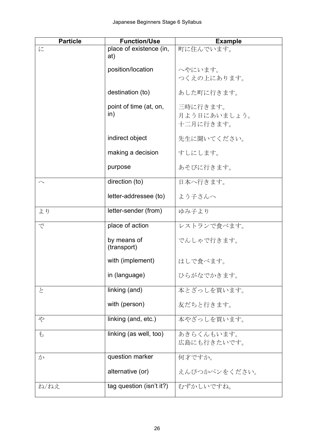| <b>Particle</b>         | <b>Function/Use</b>            | <b>Example</b>                        |
|-------------------------|--------------------------------|---------------------------------------|
| に                       | place of existence (in,<br>at) | 町に住んでいます。                             |
|                         | position/location              | へやにいます。<br>つくえの上にあります。                |
|                         | destination (to)               | あした町に行きます。                            |
|                         | point of time (at, on,<br>in)  | 三時に行きます。<br>月よう日にあいましょう。<br>十二月に行きます。 |
|                         | indirect object                | 先生に聞いてください。                           |
|                         | making a decision              | すしにします。                               |
|                         | purpose                        | あそびに行きます。                             |
| $\widehat{\phantom{0}}$ | direction (to)                 | 日本へ行きます。                              |
|                         | letter-addressee (to)          | よう子さんへ                                |
| より                      | letter-sender (from)           | ゆみ子より                                 |
| で                       | place of action                | レストランで食べます。                           |
|                         | by means of<br>(transport)     | でんしゃで行きます。                            |
|                         | with (implement)               | はしで食べます。                              |
|                         | in (language)                  | ひらがなでかきます。                            |
| と                       | linking (and)                  | 本とざっしを買います。                           |
|                         | with (person)                  | 友だちと行きます。                             |
| \$                      | linking (and, etc.)            | 本やざっしを買います。                           |
| $\mathfrak{F}$          | linking (as well, too)         | あきらくんもいます。<br>広島にも行きたいです。             |
| か                       | question marker                | 何才ですか。                                |
|                         | alternative (or)               | えんぴつかペンをください。                         |
| ね/ねえ                    | tag question (isn't it?)       | むずかしいですね。                             |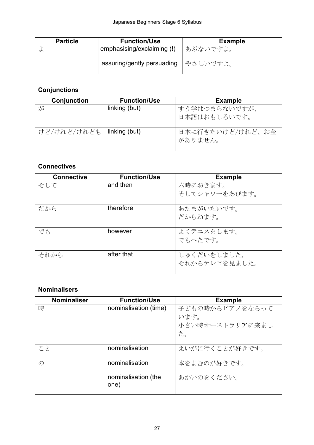| <b>Particle</b> | <b>Function/Use</b>                   | <b>Example</b> |
|-----------------|---------------------------------------|----------------|
|                 | emphasising/exclaiming (!)            | │ あぶないですよ。     |
|                 | assuring/gently persuading   やさしいですよ。 |                |

## **Conjunctions**

| Conjunction                 | <b>Function/Use</b> | <b>Example</b>              |
|-----------------------------|---------------------|-----------------------------|
| が                           | linking (but)       | すう学はつまらないですが、               |
|                             |                     | 日本語はおもしろいです。                |
| けど/けれど/けれども   linking (but) |                     | 日本に行きたいけど/けれど、お金<br>がありません。 |

## **Connectives**

| <b>Connective</b> | <b>Function/Use</b> | <b>Example</b> |
|-------------------|---------------------|----------------|
| そして               | and then            | 六時におきます。       |
|                   |                     | そしてシャワーをあびます。  |
| だから               | therefore           | あたまがいたいです。     |
|                   |                     | だからねます。        |
|                   |                     |                |
| でも                | however             | よくテニスをします。     |
|                   |                     | でもへたです。        |
| それから              | after that          | しゅくだいをしました。    |
|                   |                     | それからテレビを見ました。  |

## **Nominalisers**

| <b>Nominaliser</b> | <b>Function/Use</b>   | <b>Example</b>  |
|--------------------|-----------------------|-----------------|
| 時                  | nominalisation (time) | 子どもの時からピアノをならって |
|                    |                       | います。            |
|                    |                       | 小さい時オーストラリアに来まし |
|                    |                       | た。              |
|                    |                       |                 |
| こと                 | nominalisation        | えいがに行くことが好きです。  |
|                    |                       |                 |
| $\mathcal{O}$      | nominalisation        | 本をよむのが好きです。     |
|                    |                       |                 |
|                    | nominalisation (the   | あかいのをください。      |
|                    | one)                  |                 |
|                    |                       |                 |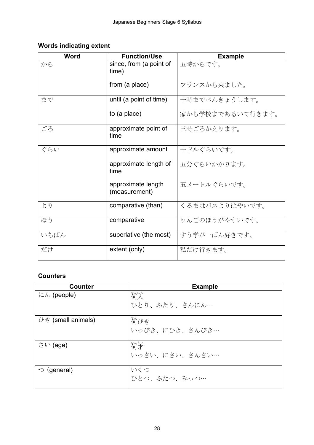#### **Words indicating extent**

| <b>Word</b> | <b>Function/Use</b>                 | <b>Example</b>   |
|-------------|-------------------------------------|------------------|
| から          | since, from (a point of<br>time)    | 五時からです。          |
|             | from (a place)                      | フランスから来ました。      |
| まで          | until (a point of time)             | 十時までべんきょうします。    |
|             | to (a place)                        | 家から学校まであるいて行きます。 |
| ごろ          | approximate point of<br>time        | 三時ごろかえります。       |
| ぐらい         | approximate amount                  | 十ドルぐらいです。        |
|             | approximate length of<br>time       | 五分ぐらいかかります。      |
|             | approximate length<br>(measurement) | 五メートルぐらいです。      |
| より          | comparative (than)                  | くるまはバスよりはやいです。   |
| ほう          | comparative                         | りんごのほうがやすいです。    |
| いちばん        | superlative (the most)              | すう学が一ばん好きです。     |
| だけ          | extent (only)                       | 私だけ行きます。         |

## **Counters**

| <b>Counter</b>                        | <b>Example</b> |
|---------------------------------------|----------------|
| $\mathcal{K}\mathcal{N}$ (people)     | 歓送             |
|                                       | ひとり、ふたり、さんにん…  |
| $\cup \check{\sigma}$ (small animals) | 猗びき            |
|                                       | いっぴき、にひき、さんびき… |
| $\stackrel{\frown}{\sim}$ (age)       | 筍才             |
|                                       | いっさい、にさい、さんさい… |
| $\supset$ (general)                   | いくつ            |
|                                       | ひとつ、ふたつ、みっつ…   |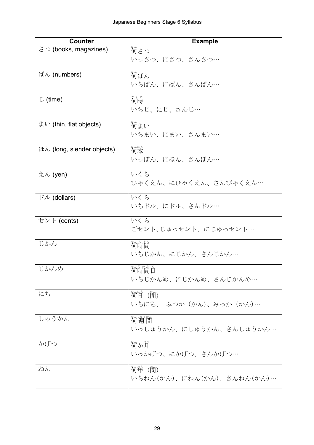| <b>Counter</b>             | <b>Example</b>             |
|----------------------------|----------------------------|
| さつ (books, magazines)      | 。<br>何さつ                   |
|                            | いっさつ、にさつ、さんさつ…             |
| ばん (numbers)               | 筍ばん                        |
|                            | いちばん、にばん、さんばん…             |
|                            |                            |
| $\mathcal{L}$ (time)       | 衜嵵                         |
|                            | いちじ、にじ、さんじ…                |
| まい (thin, flat objects)    | 猗まい                        |
|                            | いちまい、にまい、さんまい…             |
|                            |                            |
| ほん (long, slender objects) | 櫛本                         |
|                            | いっぽん、にほん、さんぼん…             |
| えん (yen)                   | いくら                        |
|                            | ひゃくえん、にひゃくえん、さんびゃくえん…      |
| $\forall$ $\nu$ (dollars)  | いくら                        |
|                            | いちドル、にドル、さんドル…             |
| セント (cents)                | いくら                        |
|                            | ごセント、じゅっセント、にじゅっセント…       |
| じかん                        | 简時簡                        |
|                            | いちじかん、にじかん、さんじかん…          |
|                            |                            |
| じかんめ                       | 猗嵵簡首                       |
|                            | いちじかんめ、にじかんめ、さんじかんめ…       |
| にち                         | 简目 (簡)                     |
|                            | いちにち、 ふつか (かん)、みっか (かん)…   |
|                            |                            |
| しゅうかん                      | 猗竇簡                        |
|                            | いっしゅうかん、にしゅうかん、さんしゅうかん…    |
| かげつ                        | 筍が月                        |
|                            | いっかげつ、にかげつ、さんかげつ…          |
| ねん                         | <i>简</i> 牮 (簡)             |
|                            | いちねん(かん)、にねん(かん)、さんねん(かん)… |
|                            |                            |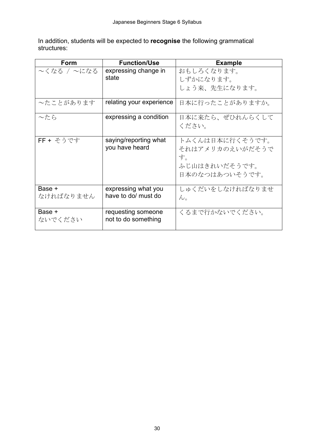In addition, students will be expected to **recognise** the following grammatical structures:

| Form                | <b>Function/Use</b>                        | <b>Example</b>                                                              |
|---------------------|--------------------------------------------|-----------------------------------------------------------------------------|
| 〜くなる / 〜になる         | expressing change in<br>state              | おもしろくなります。<br>しずかになります。                                                     |
|                     |                                            | しょう来、先生になります。                                                               |
| ~たことがあります           | relating your experience                   | 日本に行ったことがありますか。                                                             |
| ~たら                 | expressing a condition                     | 日本に来たら、ぜひれんらくして<br>ください。                                                    |
| FF + そうです           | saying/reporting what<br>you have heard    | トムくんは日本に行くそうです。<br>それはアメリカのえいがだそうで<br>す。<br>ふじ山はきれいだそうです。<br>日本のなつはあついそうです。 |
| Base +<br>なければなりません | expressing what you<br>have to do/ must do | しゅくだいをしなければなりませ<br>$\mathcal{W}_\circ$                                      |
| Base +<br>ないでください   | requesting someone<br>not to do something  | くるまで行かないでください。                                                              |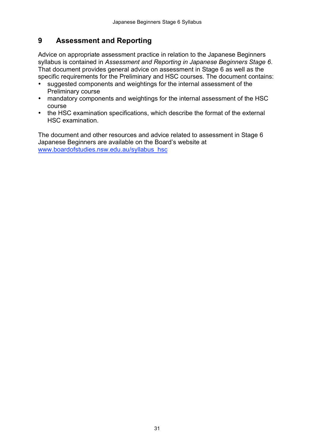#### <span id="page-30-0"></span> **Assessment and Reporting 9**

 Advice on appropriate assessment practice in relation to the Japanese Beginners syllabus is contained in *Assessment and Reporting in Japanese Beginners Stage 6*. That document provides general advice on assessment in Stage 6 as well as the specific requirements for the Preliminary and HSC courses. The document contains:

- • suggested components and weightings for the internal assessment of the Preliminary course
- mandatory components and weightings for the internal assessment of the HSC course
- the HSC examination specifications, which describe the format of the external HSC examination.

 The document and other resources and advice related to assessment in Stage 6 Japanese Beginners are available on the Board's website at www.boardofstudies.nsw.edu.au/syllabus\_hsc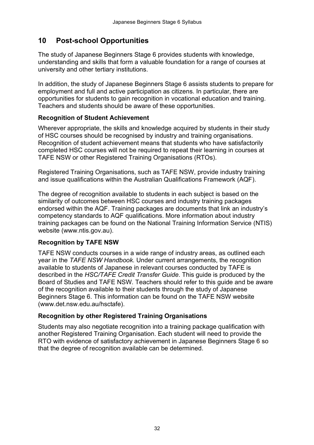## <span id="page-31-0"></span>**10 Post-school Opportunities**

 The study of Japanese Beginners Stage 6 provides students with knowledge, understanding and skills that form a valuable foundation for a range of courses at university and other tertiary institutions.

 In addition, the study of Japanese Beginners Stage 6 assists students to prepare for employment and full and active participation as citizens. In particular, there are opportunities for students to gain recognition in vocational education and training. Teachers and students should be aware of these opportunities.

#### **Recognition of Student Achievement**

 Wherever appropriate, the skills and knowledge acquired by students in their study of HSC courses should be recognised by industry and training organisations. Recognition of student achievement means that students who have satisfactorily completed HSC courses will not be required to repeat their learning in courses at TAFE NSW or other Registered Training Organisations (RTOs).

 Registered Training Organisations, such as TAFE NSW, provide industry training and issue qualifications within the Australian Qualifications Framework (AQF).

 The degree of recognition available to students in each subject is based on the similarity of outcomes between HSC courses and industry training packages endorsed within the AQF. Training packages are documents that link an industry's competency standards to AQF qualifications. More information about industry training packages can be found on the National Training Information Service (NTIS) website (www.ntis.gov.au).

#### **Recognition by TAFE NSW**

 TAFE NSW conducts courses in a wide range of industry areas, as outlined each year in the *TAFE NSW Handbook.* Under current arrangements, the recognition available to students of Japanese in relevant courses conducted by TAFE is described in the *HSC/TAFE Credit Transfer Guide*. This guide is produced by the Board of Studies and TAFE NSW. Teachers should refer to this guide and be aware of the recognition available to their students through the study of Japanese Beginners Stage 6. This information can be found on the TAFE NSW website (www.det.nsw.edu.au/hsctafe).

#### **Recognition by other Registered Training Organisations**

 Students may also negotiate recognition into a training package qualification with another Registered Training Organisation. Each student will need to provide the RTO with evidence of satisfactory achievement in Japanese Beginners Stage 6 so that the degree of recognition available can be determined.